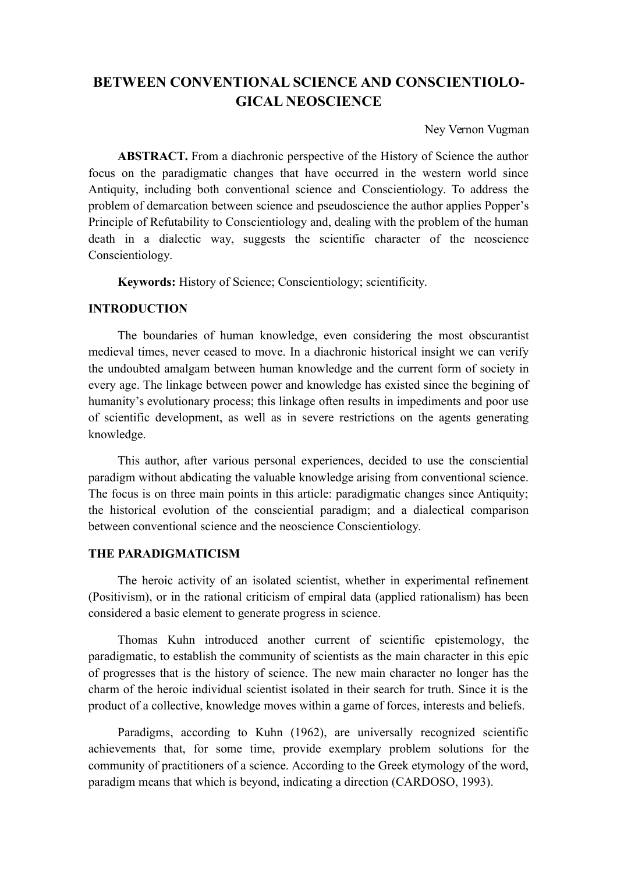# **BETWEEN CONVENTIONAL SCIENCE AND CONSCIENTIOLO-GICAL NEOSCIENCE**

Ney Vernon Vugman

**ABSTRACT.** From a diachronic perspective of the History of Science the author focus on the paradigmatic changes that have occurred in the western world since Antiquity, including both conventional science and Conscientiology. To address the problem of demarcation between science and pseudoscience the author applies Popper's Principle of Refutability to Conscientiology and, dealing with the problem of the human death in a dialectic way, suggests the scientific character of the neoscience Conscientiology.

**Keywords:** History of Science; Conscientiology; scientificity.

### **INTRODUCTION**

The boundaries of human knowledge, even considering the most obscurantist medieval times, never ceased to move. In a diachronic historical insight we can verify the undoubted amalgam between human knowledge and the current form of society in every age. The linkage between power and knowledge has existed since the begining of humanity's evolutionary process; this linkage often results in impediments and poor use of scientific development, as well as in severe restrictions on the agents generating knowledge.

This author, after various personal experiences, decided to use the consciential paradigm without abdicating the valuable knowledge arising from conventional science. The focus is on three main points in this article: paradigmatic changes since Antiquity; the historical evolution of the consciential paradigm; and a dialectical comparison between conventional science and the neoscience Conscientiology.

### **THE PARADIGMATICISM**

The heroic activity of an isolated scientist, whether in experimental refinement (Positivism), or in the rational criticism of empiral data (applied rationalism) has been considered a basic element to generate progress in science.

Thomas Kuhn introduced another current of scientific epistemology, the paradigmatic, to establish the community of scientists as the main character in this epic of progresses that is the history of science. The new main character no longer has the charm of the heroic individual scientist isolated in their search for truth. Since it is the product of a collective, knowledge moves within a game of forces, interests and beliefs.

Paradigms, according to Kuhn (1962), are universally recognized scientific achievements that, for some time, provide exemplary problem solutions for the community of practitioners of a science. According to the Greek etymology of the word, paradigm means that which is beyond, indicating a direction (CARDOSO, 1993).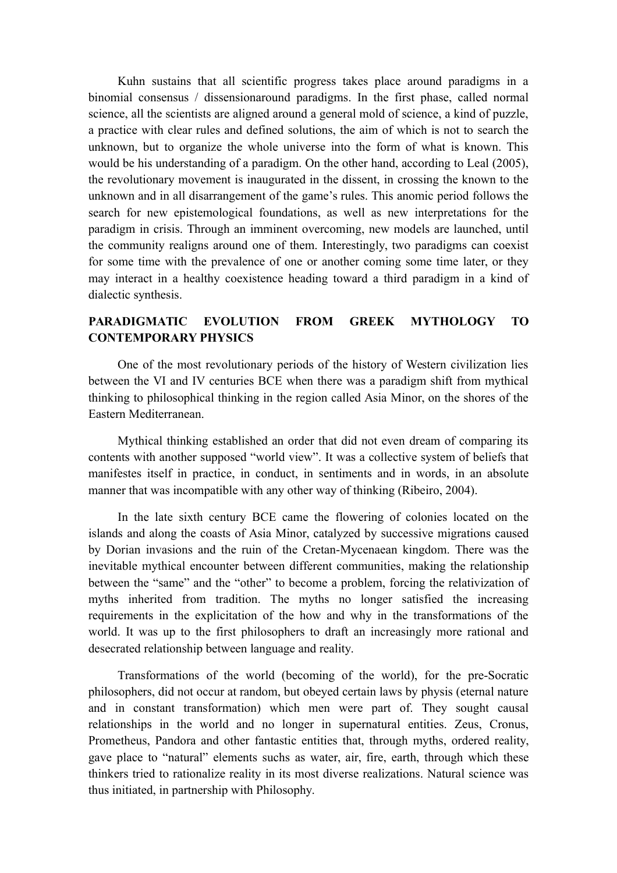Kuhn sustains that all scientific progress takes place around paradigms in a binomial consensus / dissensionaround paradigms. In the first phase, called normal science, all the scientists are aligned around a general mold of science, a kind of puzzle, a practice with clear rules and defined solutions, the aim of which is not to search the unknown, but to organize the whole universe into the form of what is known. This would be his understanding of a paradigm. On the other hand, according to Leal (2005), the revolutionary movement is inaugurated in the dissent, in crossing the known to the unknown and in all disarrangement of the game's rules. This anomic period follows the search for new epistemological foundations, as well as new interpretations for the paradigm in crisis. Through an imminent overcoming, new models are launched, until the community realigns around one of them. Interestingly, two paradigms can coexist for some time with the prevalence of one or another coming some time later, or they may interact in a healthy coexistence heading toward a third paradigm in a kind of dialectic synthesis.

### **PARADIGMATIC EVOLUTION FROM GREEK MYTHOLOGY TO CONTEMPORARY PHYSICS**

One of the most revolutionary periods of the history of Western civilization lies between the VI and IV centuries BCE when there was a paradigm shift from mythical thinking to philosophical thinking in the region called Asia Minor, on the shores of the Eastern Mediterranean.

Mythical thinking established an order that did not even dream of comparing its contents with another supposed "world view". It was a collective system of beliefs that manifestes itself in practice, in conduct, in sentiments and in words, in an absolute manner that was incompatible with any other way of thinking (Ribeiro, 2004).

In the late sixth century BCE came the flowering of colonies located on the islands and along the coasts of Asia Minor, catalyzed by successive migrations caused by Dorian invasions and the ruin of the Cretan-Mycenaean kingdom. There was the inevitable mythical encounter between different communities, making the relationship between the "same" and the "other" to become a problem, forcing the relativization of myths inherited from tradition. The myths no longer satisfied the increasing requirements in the explicitation of the how and why in the transformations of the world. It was up to the first philosophers to draft an increasingly more rational and desecrated relationship between language and reality.

Transformations of the world (becoming of the world), for the pre-Socratic philosophers, did not occur at random, but obeyed certain laws by physis (eternal nature and in constant transformation) which men were part of. They sought causal relationships in the world and no longer in supernatural entities. Zeus, Cronus, Prometheus, Pandora and other fantastic entities that, through myths, ordered reality, gave place to "natural" elements suchs as water, air, fire, earth, through which these thinkers tried to rationalize reality in its most diverse realizations. Natural science was thus initiated, in partnership with Philosophy.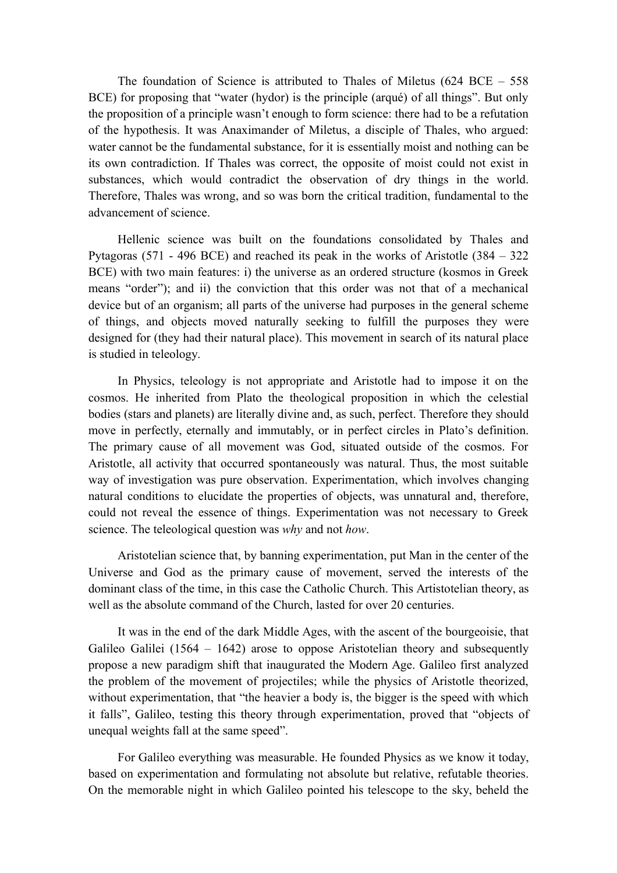The foundation of Science is attributed to Thales of Miletus  $(624 \text{ BCE} - 558$ BCE) for proposing that "water (hydor) is the principle (arqué) of all things". But only the proposition of a principle wasn't enough to form science: there had to be a refutation of the hypothesis. It was Anaximander of Miletus, a disciple of Thales, who argued: water cannot be the fundamental substance, for it is essentially moist and nothing can be its own contradiction. If Thales was correct, the opposite of moist could not exist in substances, which would contradict the observation of dry things in the world. Therefore, Thales was wrong, and so was born the critical tradition, fundamental to the advancement of science.

Hellenic science was built on the foundations consolidated by Thales and Pytagoras (571 - 496 BCE) and reached its peak in the works of Aristotle (384 – 322 BCE) with two main features: i) the universe as an ordered structure (kosmos in Greek means "order"); and ii) the conviction that this order was not that of a mechanical device but of an organism; all parts of the universe had purposes in the general scheme of things, and objects moved naturally seeking to fulfill the purposes they were designed for (they had their natural place). This movement in search of its natural place is studied in teleology.

In Physics, teleology is not appropriate and Aristotle had to impose it on the cosmos. He inherited from Plato the theological proposition in which the celestial bodies (stars and planets) are literally divine and, as such, perfect. Therefore they should move in perfectly, eternally and immutably, or in perfect circles in Plato's definition. The primary cause of all movement was God, situated outside of the cosmos. For Aristotle, all activity that occurred spontaneously was natural. Thus, the most suitable way of investigation was pure observation. Experimentation, which involves changing natural conditions to elucidate the properties of objects, was unnatural and, therefore, could not reveal the essence of things. Experimentation was not necessary to Greek science. The teleological question was *why* and not *how*.

Aristotelian science that, by banning experimentation, put Man in the center of the Universe and God as the primary cause of movement, served the interests of the dominant class of the time, in this case the Catholic Church. This Artistotelian theory, as well as the absolute command of the Church, lasted for over 20 centuries.

It was in the end of the dark Middle Ages, with the ascent of the bourgeoisie, that Galileo Galilei (1564 – 1642) arose to oppose Aristotelian theory and subsequently propose a new paradigm shift that inaugurated the Modern Age. Galileo first analyzed the problem of the movement of projectiles; while the physics of Aristotle theorized, without experimentation, that "the heavier a body is, the bigger is the speed with which it falls", Galileo, testing this theory through experimentation, proved that "objects of unequal weights fall at the same speed".

For Galileo everything was measurable. He founded Physics as we know it today, based on experimentation and formulating not absolute but relative, refutable theories. On the memorable night in which Galileo pointed his telescope to the sky, beheld the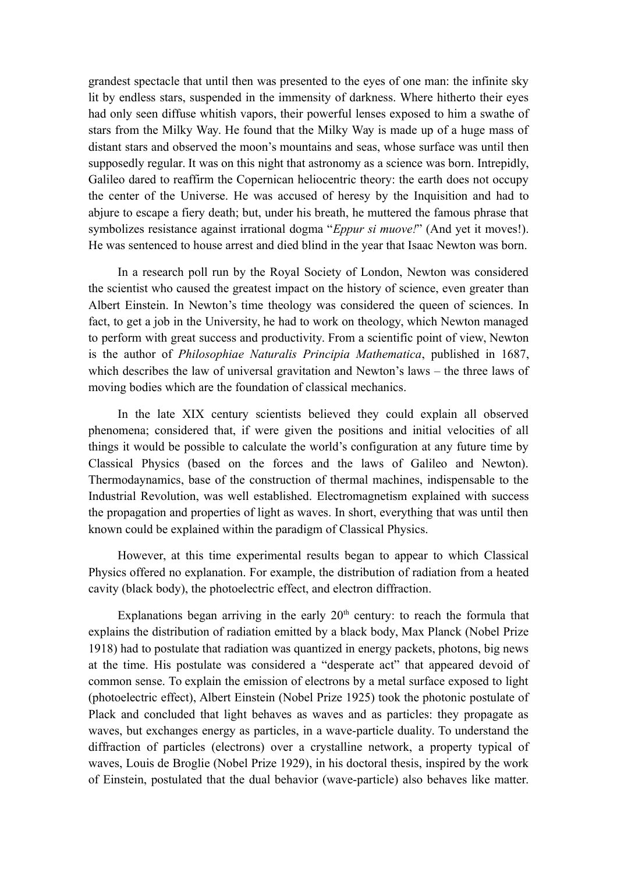grandest spectacle that until then was presented to the eyes of one man: the infinite sky lit by endless stars, suspended in the immensity of darkness. Where hitherto their eyes had only seen diffuse whitish vapors, their powerful lenses exposed to him a swathe of stars from the Milky Way. He found that the Milky Way is made up of a huge mass of distant stars and observed the moon's mountains and seas, whose surface was until then supposedly regular. It was on this night that astronomy as a science was born. Intrepidly, Galileo dared to reaffirm the Copernican heliocentric theory: the earth does not occupy the center of the Universe. He was accused of heresy by the Inquisition and had to abjure to escape a fiery death; but, under his breath, he muttered the famous phrase that symbolizes resistance against irrational dogma "*Eppur si muove!*" (And yet it moves!). He was sentenced to house arrest and died blind in the year that Isaac Newton was born.

In a research poll run by the Royal Society of London, Newton was considered the scientist who caused the greatest impact on the history of science, even greater than Albert Einstein. In Newton's time theology was considered the queen of sciences. In fact, to get a job in the University, he had to work on theology, which Newton managed to perform with great success and productivity. From a scientific point of view, Newton is the author of *Philosophiae Naturalis Principia Mathematica*, published in 1687, which describes the law of universal gravitation and Newton's laws – the three laws of moving bodies which are the foundation of classical mechanics.

In the late XIX century scientists believed they could explain all observed phenomena; considered that, if were given the positions and initial velocities of all things it would be possible to calculate the world's configuration at any future time by Classical Physics (based on the forces and the laws of Galileo and Newton). Thermodaynamics, base of the construction of thermal machines, indispensable to the Industrial Revolution, was well established. Electromagnetism explained with success the propagation and properties of light as waves. In short, everything that was until then known could be explained within the paradigm of Classical Physics.

However, at this time experimental results began to appear to which Classical Physics offered no explanation. For example, the distribution of radiation from a heated cavity (black body), the photoelectric effect, and electron diffraction.

Explanations began arriving in the early  $20<sup>th</sup>$  century: to reach the formula that explains the distribution of radiation emitted by a black body, Max Planck (Nobel Prize 1918) had to postulate that radiation was quantized in energy packets, photons, big news at the time. His postulate was considered a "desperate act" that appeared devoid of common sense. To explain the emission of electrons by a metal surface exposed to light (photoelectric effect), Albert Einstein (Nobel Prize 1925) took the photonic postulate of Plack and concluded that light behaves as waves and as particles: they propagate as waves, but exchanges energy as particles, in a wave-particle duality. To understand the diffraction of particles (electrons) over a crystalline network, a property typical of waves, Louis de Broglie (Nobel Prize 1929), in his doctoral thesis, inspired by the work of Einstein, postulated that the dual behavior (wave-particle) also behaves like matter.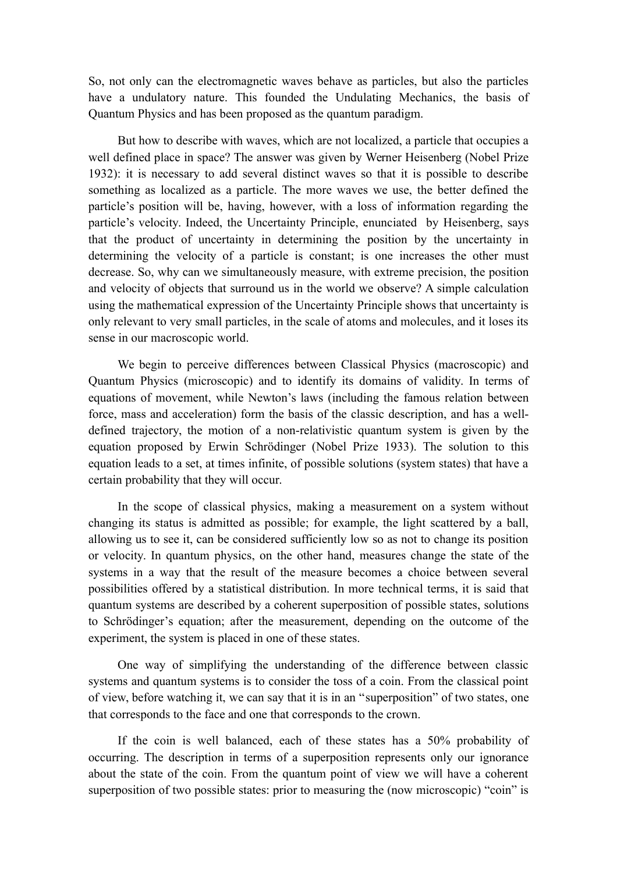So, not only can the electromagnetic waves behave as particles, but also the particles have a undulatory nature. This founded the Undulating Mechanics, the basis of Quantum Physics and has been proposed as the quantum paradigm.

But how to describe with waves, which are not localized, a particle that occupies a well defined place in space? The answer was given by Werner Heisenberg (Nobel Prize 1932): it is necessary to add several distinct waves so that it is possible to describe something as localized as a particle. The more waves we use, the better defined the particle's position will be, having, however, with a loss of information regarding the particle's velocity. Indeed, the Uncertainty Principle, enunciated by Heisenberg, says that the product of uncertainty in determining the position by the uncertainty in determining the velocity of a particle is constant; is one increases the other must decrease. So, why can we simultaneously measure, with extreme precision, the position and velocity of objects that surround us in the world we observe? A simple calculation using the mathematical expression of the Uncertainty Principle shows that uncertainty is only relevant to very small particles, in the scale of atoms and molecules, and it loses its sense in our macroscopic world.

We begin to perceive differences between Classical Physics (macroscopic) and Quantum Physics (microscopic) and to identify its domains of validity. In terms of equations of movement, while Newton's laws (including the famous relation between force, mass and acceleration) form the basis of the classic description, and has a welldefined trajectory, the motion of a non-relativistic quantum system is given by the equation proposed by Erwin Schrödinger (Nobel Prize 1933). The solution to this equation leads to a set, at times infinite, of possible solutions (system states) that have a certain probability that they will occur.

In the scope of classical physics, making a measurement on a system without changing its status is admitted as possible; for example, the light scattered by a ball, allowing us to see it, can be considered sufficiently low so as not to change its position or velocity. In quantum physics, on the other hand, measures change the state of the systems in a way that the result of the measure becomes a choice between several possibilities offered by a statistical distribution. In more technical terms, it is said that quantum systems are described by a coherent superposition of possible states, solutions to Schrödinger's equation; after the measurement, depending on the outcome of the experiment, the system is placed in one of these states.

One way of simplifying the understanding of the difference between classic systems and quantum systems is to consider the toss of a coin. From the classical point of view, before watching it, we can say that it is in an "superposition" of two states, one that corresponds to the face and one that corresponds to the crown.

If the coin is well balanced, each of these states has a 50% probability of occurring. The description in terms of a superposition represents only our ignorance about the state of the coin. From the quantum point of view we will have a coherent superposition of two possible states: prior to measuring the (now microscopic) "coin" is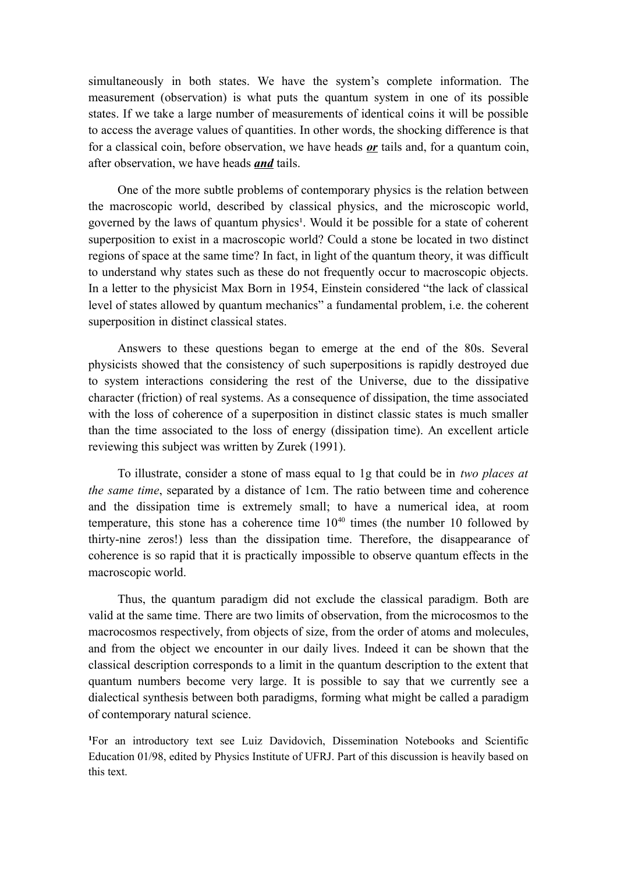simultaneously in both states. We have the system's complete information. The measurement (observation) is what puts the quantum system in one of its possible states. If we take a large number of measurements of identical coins it will be possible to access the average values of quantities. In other words, the shocking difference is that for a classical coin, before observation, we have heads *or* tails and, for a quantum coin, after observation, we have heads *and* tails.

One of the more subtle problems of contemporary physics is the relation between the macroscopic world, described by classical physics, and the microscopic world, governed by the laws of quantum physics<sup>1</sup>. Would it be possible for a state of coherent superposition to exist in a macroscopic world? Could a stone be located in two distinct regions of space at the same time? In fact, in light of the quantum theory, it was difficult to understand why states such as these do not frequently occur to macroscopic objects. In a letter to the physicist Max Born in 1954, Einstein considered "the lack of classical level of states allowed by quantum mechanics" a fundamental problem, i.e. the coherent superposition in distinct classical states.

Answers to these questions began to emerge at the end of the 80s. Several physicists showed that the consistency of such superpositions is rapidly destroyed due to system interactions considering the rest of the Universe, due to the dissipative character (friction) of real systems. As a consequence of dissipation, the time associated with the loss of coherence of a superposition in distinct classic states is much smaller than the time associated to the loss of energy (dissipation time). An excellent article reviewing this subject was written by Zurek (1991).

To illustrate, consider a stone of mass equal to 1g that could be in *two places at the same time*, separated by a distance of 1cm. The ratio between time and coherence and the dissipation time is extremely small; to have a numerical idea, at room temperature, this stone has a coherence time  $10^{40}$  times (the number 10 followed by thirty-nine zeros!) less than the dissipation time. Therefore, the disappearance of coherence is so rapid that it is practically impossible to observe quantum effects in the macroscopic world.

Thus, the quantum paradigm did not exclude the classical paradigm. Both are valid at the same time. There are two limits of observation, from the microcosmos to the macrocosmos respectively, from objects of size, from the order of atoms and molecules, and from the object we encounter in our daily lives. Indeed it can be shown that the classical description corresponds to a limit in the quantum description to the extent that quantum numbers become very large. It is possible to say that we currently see a dialectical synthesis between both paradigms, forming what might be called a paradigm of contemporary natural science.

<sup>1</sup>For an introductory text see Luiz Davidovich, Dissemination Notebooks and Scientific Education 01/98, edited by Physics Institute of UFRJ. Part of this discussion is heavily based on this text.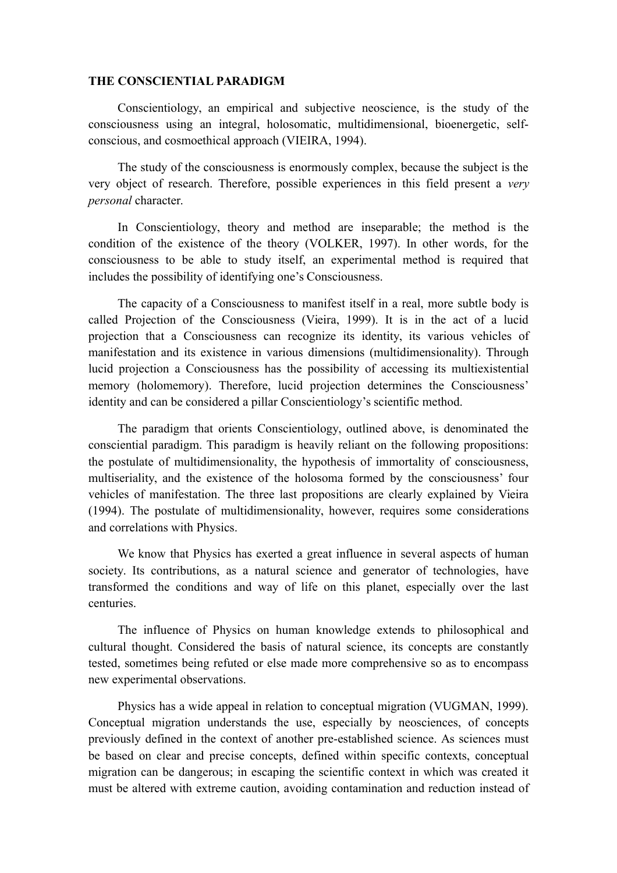#### **THE CONSCIENTIAL PARADIGM**

Conscientiology, an empirical and subjective neoscience, is the study of the consciousness using an integral, holosomatic, multidimensional, bioenergetic, selfconscious, and cosmoethical approach (VIEIRA, 1994).

The study of the consciousness is enormously complex, because the subject is the very object of research. Therefore, possible experiences in this field present a *very personal* character.

In Conscientiology, theory and method are inseparable; the method is the condition of the existence of the theory (VOLKER, 1997). In other words, for the consciousness to be able to study itself, an experimental method is required that includes the possibility of identifying one's Consciousness.

The capacity of a Consciousness to manifest itself in a real, more subtle body is called Projection of the Consciousness (Vieira, 1999). It is in the act of a lucid projection that a Consciousness can recognize its identity, its various vehicles of manifestation and its existence in various dimensions (multidimensionality). Through lucid projection a Consciousness has the possibility of accessing its multiexistential memory (holomemory). Therefore, lucid projection determines the Consciousness' identity and can be considered a pillar Conscientiology's scientific method.

The paradigm that orients Conscientiology, outlined above, is denominated the consciential paradigm. This paradigm is heavily reliant on the following propositions: the postulate of multidimensionality, the hypothesis of immortality of consciousness, multiseriality, and the existence of the holosoma formed by the consciousness' four vehicles of manifestation. The three last propositions are clearly explained by Vieira (1994). The postulate of multidimensionality, however, requires some considerations and correlations with Physics.

We know that Physics has exerted a great influence in several aspects of human society. Its contributions, as a natural science and generator of technologies, have transformed the conditions and way of life on this planet, especially over the last centuries.

The influence of Physics on human knowledge extends to philosophical and cultural thought. Considered the basis of natural science, its concepts are constantly tested, sometimes being refuted or else made more comprehensive so as to encompass new experimental observations.

Physics has a wide appeal in relation to conceptual migration (VUGMAN, 1999). Conceptual migration understands the use, especially by neosciences, of concepts previously defined in the context of another pre-established science. As sciences must be based on clear and precise concepts, defined within specific contexts, conceptual migration can be dangerous; in escaping the scientific context in which was created it must be altered with extreme caution, avoiding contamination and reduction instead of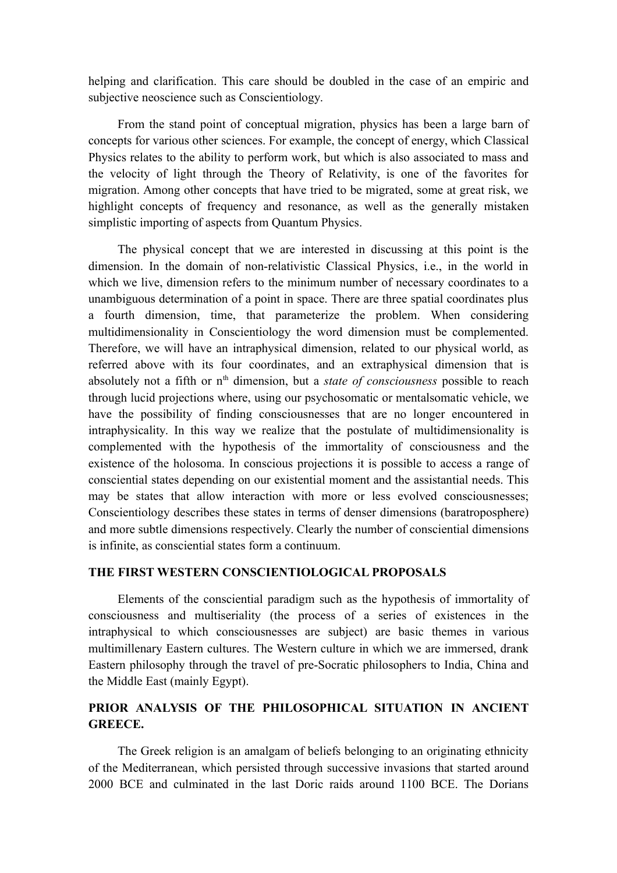helping and clarification. This care should be doubled in the case of an empiric and subjective neoscience such as Conscientiology.

From the stand point of conceptual migration, physics has been a large barn of concepts for various other sciences. For example, the concept of energy, which Classical Physics relates to the ability to perform work, but which is also associated to mass and the velocity of light through the Theory of Relativity, is one of the favorites for migration. Among other concepts that have tried to be migrated, some at great risk, we highlight concepts of frequency and resonance, as well as the generally mistaken simplistic importing of aspects from Quantum Physics.

The physical concept that we are interested in discussing at this point is the dimension. In the domain of non-relativistic Classical Physics, i.e., in the world in which we live, dimension refers to the minimum number of necessary coordinates to a unambiguous determination of a point in space. There are three spatial coordinates plus a fourth dimension, time, that parameterize the problem. When considering multidimensionality in Conscientiology the word dimension must be complemented. Therefore, we will have an intraphysical dimension, related to our physical world, as referred above with its four coordinates, and an extraphysical dimension that is absolutely not a fifth or n<sup>th</sup> dimension, but a *state of consciousness* possible to reach through lucid projections where, using our psychosomatic or mentalsomatic vehicle, we have the possibility of finding consciousnesses that are no longer encountered in intraphysicality. In this way we realize that the postulate of multidimensionality is complemented with the hypothesis of the immortality of consciousness and the existence of the holosoma. In conscious projections it is possible to access a range of consciential states depending on our existential moment and the assistantial needs. This may be states that allow interaction with more or less evolved consciousnesses; Conscientiology describes these states in terms of denser dimensions (baratroposphere) and more subtle dimensions respectively. Clearly the number of consciential dimensions is infinite, as consciential states form a continuum.

### **THE FIRST WESTERN CONSCIENTIOLOGICAL PROPOSALS**

Elements of the consciential paradigm such as the hypothesis of immortality of consciousness and multiseriality (the process of a series of existences in the intraphysical to which consciousnesses are subject) are basic themes in various multimillenary Eastern cultures. The Western culture in which we are immersed, drank Eastern philosophy through the travel of pre-Socratic philosophers to India, China and the Middle East (mainly Egypt).

### **PRIOR ANALYSIS OF THE PHILOSOPHICAL SITUATION IN ANCIENT GREECE.**

The Greek religion is an amalgam of beliefs belonging to an originating ethnicity of the Mediterranean, which persisted through successive invasions that started around 2000 BCE and culminated in the last Doric raids around 1100 BCE. The Dorians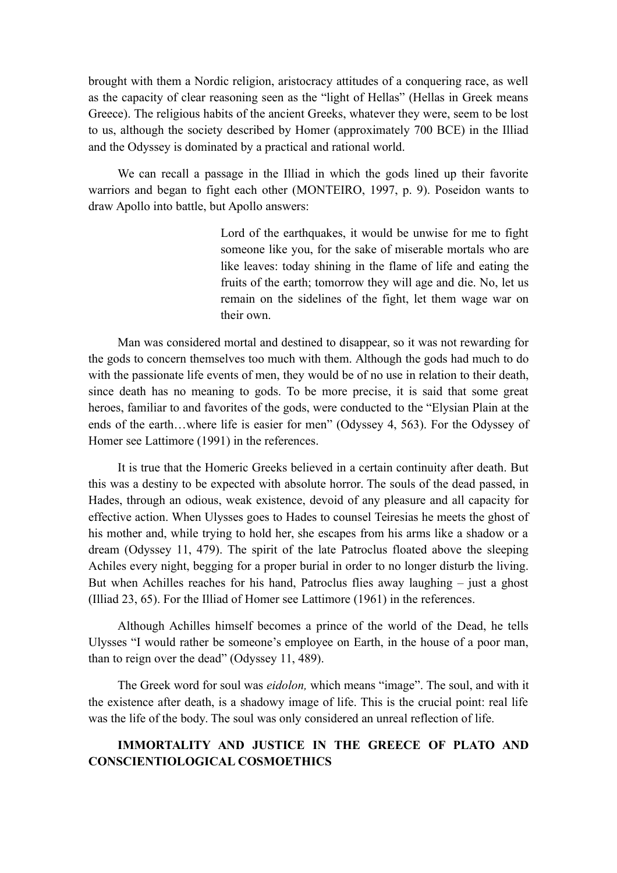brought with them a Nordic religion, aristocracy attitudes of a conquering race, as well as the capacity of clear reasoning seen as the "light of Hellas" (Hellas in Greek means Greece). The religious habits of the ancient Greeks, whatever they were, seem to be lost to us, although the society described by Homer (approximately 700 BCE) in the Illiad and the Odyssey is dominated by a practical and rational world.

We can recall a passage in the Illiad in which the gods lined up their favorite warriors and began to fight each other (MONTEIRO, 1997, p. 9). Poseidon wants to draw Apollo into battle, but Apollo answers:

> Lord of the earthquakes, it would be unwise for me to fight someone like you, for the sake of miserable mortals who are like leaves: today shining in the flame of life and eating the fruits of the earth; tomorrow they will age and die. No, let us remain on the sidelines of the fight, let them wage war on their own.

Man was considered mortal and destined to disappear, so it was not rewarding for the gods to concern themselves too much with them. Although the gods had much to do with the passionate life events of men, they would be of no use in relation to their death, since death has no meaning to gods. To be more precise, it is said that some great heroes, familiar to and favorites of the gods, were conducted to the "Elysian Plain at the ends of the earth…where life is easier for men" (Odyssey 4, 563). For the Odyssey of Homer see Lattimore (1991) in the references.

It is true that the Homeric Greeks believed in a certain continuity after death. But this was a destiny to be expected with absolute horror. The souls of the dead passed, in Hades, through an odious, weak existence, devoid of any pleasure and all capacity for effective action. When Ulysses goes to Hades to counsel Teiresias he meets the ghost of his mother and, while trying to hold her, she escapes from his arms like a shadow or a dream (Odyssey 11, 479). The spirit of the late Patroclus floated above the sleeping Achiles every night, begging for a proper burial in order to no longer disturb the living. But when Achilles reaches for his hand, Patroclus flies away laughing – just a ghost (Illiad 23, 65). For the Illiad of Homer see Lattimore (1961) in the references.

Although Achilles himself becomes a prince of the world of the Dead, he tells Ulysses "I would rather be someone's employee on Earth, in the house of a poor man, than to reign over the dead" (Odyssey 11, 489).

The Greek word for soul was *eidolon,* which means "image". The soul, and with it the existence after death, is a shadowy image of life. This is the crucial point: real life was the life of the body. The soul was only considered an unreal reflection of life.

### **IMMORTALITY AND JUSTICE IN THE GREECE OF PLATO AND CONSCIENTIOLOGICAL COSMOETHICS**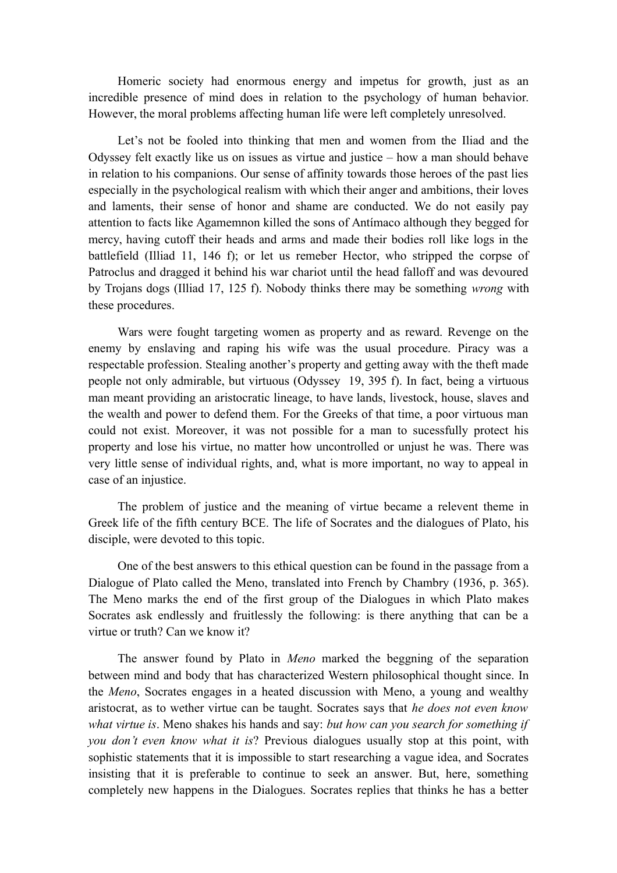Homeric society had enormous energy and impetus for growth, just as an incredible presence of mind does in relation to the psychology of human behavior. However, the moral problems affecting human life were left completely unresolved.

Let's not be fooled into thinking that men and women from the Iliad and the Odyssey felt exactly like us on issues as virtue and justice – how a man should behave in relation to his companions. Our sense of affinity towards those heroes of the past lies especially in the psychological realism with which their anger and ambitions, their loves and laments, their sense of honor and shame are conducted. We do not easily pay attention to facts like Agamemnon killed the sons of Antímaco although they begged for mercy, having cutoff their heads and arms and made their bodies roll like logs in the battlefield (Illiad 11, 146 f); or let us remeber Hector, who stripped the corpse of Patroclus and dragged it behind his war chariot until the head falloff and was devoured by Trojans dogs (Illiad 17, 125 f). Nobody thinks there may be something *wrong* with these procedures.

Wars were fought targeting women as property and as reward. Revenge on the enemy by enslaving and raping his wife was the usual procedure. Piracy was a respectable profession. Stealing another's property and getting away with the theft made people not only admirable, but virtuous (Odyssey 19, 395 f). In fact, being a virtuous man meant providing an aristocratic lineage, to have lands, livestock, house, slaves and the wealth and power to defend them. For the Greeks of that time, a poor virtuous man could not exist. Moreover, it was not possible for a man to sucessfully protect his property and lose his virtue, no matter how uncontrolled or unjust he was. There was very little sense of individual rights, and, what is more important, no way to appeal in case of an injustice.

The problem of justice and the meaning of virtue became a relevent theme in Greek life of the fifth century BCE. The life of Socrates and the dialogues of Plato, his disciple, were devoted to this topic.

One of the best answers to this ethical question can be found in the passage from a Dialogue of Plato called the Meno, translated into French by Chambry (1936, p. 365). The Meno marks the end of the first group of the Dialogues in which Plato makes Socrates ask endlessly and fruitlessly the following: is there anything that can be a virtue or truth? Can we know it?

The answer found by Plato in *Meno* marked the beggning of the separation between mind and body that has characterized Western philosophical thought since. In the *Meno*, Socrates engages in a heated discussion with Meno, a young and wealthy aristocrat, as to wether virtue can be taught. Socrates says that *he does not even know what virtue is*. Meno shakes his hands and say: *but how can you search for something if you don't even know what it is*? Previous dialogues usually stop at this point, with sophistic statements that it is impossible to start researching a vague idea, and Socrates insisting that it is preferable to continue to seek an answer. But, here, something completely new happens in the Dialogues. Socrates replies that thinks he has a better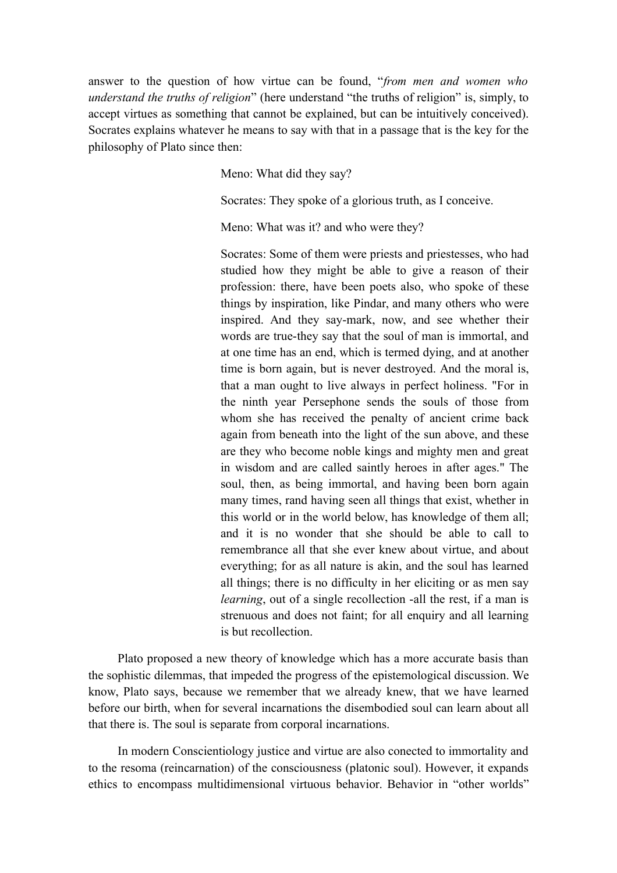answer to the question of how virtue can be found, "*from men and women who understand the truths of religion*" (here understand "the truths of religion" is, simply, to accept virtues as something that cannot be explained, but can be intuitively conceived). Socrates explains whatever he means to say with that in a passage that is the key for the philosophy of Plato since then:

Meno: What did they say?

Socrates: They spoke of a glorious truth, as I conceive.

Meno: What was it? and who were they?

Socrates: Some of them were priests and priestesses, who had studied how they might be able to give a reason of their profession: there, have been poets also, who spoke of these things by inspiration, like Pindar, and many others who were inspired. And they say-mark, now, and see whether their words are true-they say that the soul of man is immortal, and at one time has an end, which is termed dying, and at another time is born again, but is never destroyed. And the moral is, that a man ought to live always in perfect holiness. "For in the ninth year Persephone sends the souls of those from whom she has received the penalty of ancient crime back again from beneath into the light of the sun above, and these are they who become noble kings and mighty men and great in wisdom and are called saintly heroes in after ages." The soul, then, as being immortal, and having been born again many times, rand having seen all things that exist, whether in this world or in the world below, has knowledge of them all; and it is no wonder that she should be able to call to remembrance all that she ever knew about virtue, and about everything; for as all nature is akin, and the soul has learned all things; there is no difficulty in her eliciting or as men say *learning*, out of a single recollection -all the rest, if a man is strenuous and does not faint; for all enquiry and all learning is but recollection.

Plato proposed a new theory of knowledge which has a more accurate basis than the sophistic dilemmas, that impeded the progress of the epistemological discussion. We know, Plato says, because we remember that we already knew, that we have learned before our birth, when for several incarnations the disembodied soul can learn about all that there is. The soul is separate from corporal incarnations.

In modern Conscientiology justice and virtue are also conected to immortality and to the resoma (reincarnation) of the consciousness (platonic soul). However, it expands ethics to encompass multidimensional virtuous behavior. Behavior in "other worlds"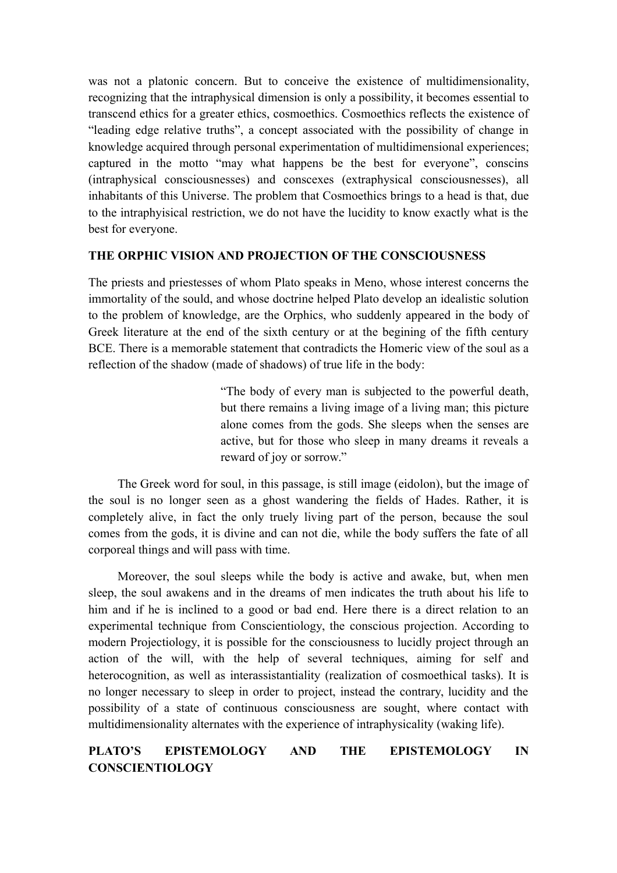was not a platonic concern. But to conceive the existence of multidimensionality, recognizing that the intraphysical dimension is only a possibility, it becomes essential to transcend ethics for a greater ethics, cosmoethics. Cosmoethics reflects the existence of "leading edge relative truths", a concept associated with the possibility of change in knowledge acquired through personal experimentation of multidimensional experiences; captured in the motto "may what happens be the best for everyone", conscins (intraphysical consciousnesses) and conscexes (extraphysical consciousnesses), all inhabitants of this Universe. The problem that Cosmoethics brings to a head is that, due to the intraphyisical restriction, we do not have the lucidity to know exactly what is the best for everyone.

### **THE ORPHIC VISION AND PROJECTION OF THE CONSCIOUSNESS**

The priests and priestesses of whom Plato speaks in Meno, whose interest concerns the immortality of the sould, and whose doctrine helped Plato develop an idealistic solution to the problem of knowledge, are the Orphics, who suddenly appeared in the body of Greek literature at the end of the sixth century or at the begining of the fifth century BCE. There is a memorable statement that contradicts the Homeric view of the soul as a reflection of the shadow (made of shadows) of true life in the body:

> "The body of every man is subjected to the powerful death, but there remains a living image of a living man; this picture alone comes from the gods. She sleeps when the senses are active, but for those who sleep in many dreams it reveals a reward of joy or sorrow."

The Greek word for soul, in this passage, is still image (eidolon), but the image of the soul is no longer seen as a ghost wandering the fields of Hades. Rather, it is completely alive, in fact the only truely living part of the person, because the soul comes from the gods, it is divine and can not die, while the body suffers the fate of all corporeal things and will pass with time.

Moreover, the soul sleeps while the body is active and awake, but, when men sleep, the soul awakens and in the dreams of men indicates the truth about his life to him and if he is inclined to a good or bad end. Here there is a direct relation to an experimental technique from Conscientiology, the conscious projection. According to modern Projectiology, it is possible for the consciousness to lucidly project through an action of the will, with the help of several techniques, aiming for self and heterocognition, as well as interassistantiality (realization of cosmoethical tasks). It is no longer necessary to sleep in order to project, instead the contrary, lucidity and the possibility of a state of continuous consciousness are sought, where contact with multidimensionality alternates with the experience of intraphysicality (waking life).

## **PLATO'S EPISTEMOLOGY AND THE EPISTEMOLOGY IN CONSCIENTIOLOGY**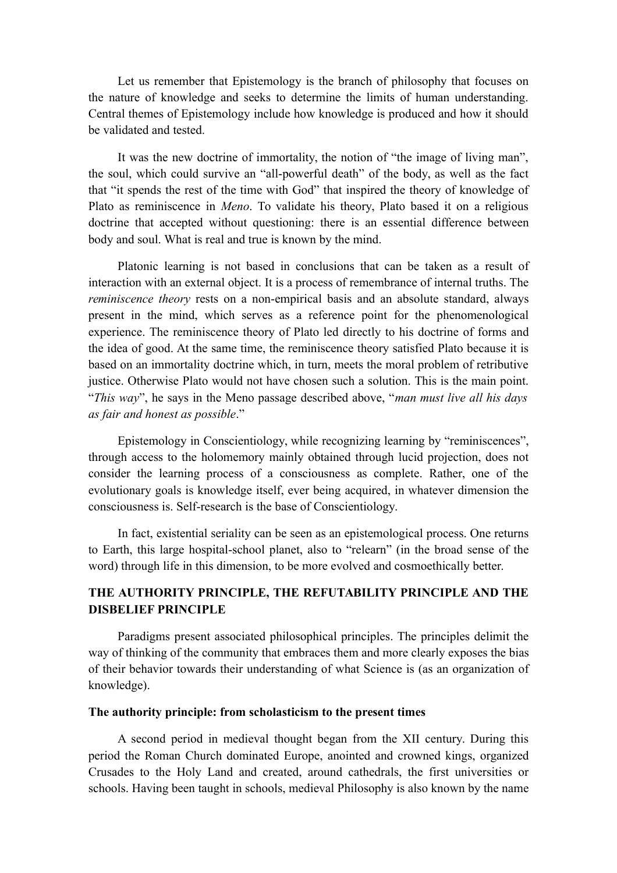Let us remember that Epistemology is the branch of philosophy that focuses on the nature of knowledge and seeks to determine the limits of human understanding. Central themes of Epistemology include how knowledge is produced and how it should be validated and tested.

It was the new doctrine of immortality, the notion of "the image of living man", the soul, which could survive an "all-powerful death" of the body, as well as the fact that "it spends the rest of the time with God" that inspired the theory of knowledge of Plato as reminiscence in *Meno*. To validate his theory, Plato based it on a religious doctrine that accepted without questioning: there is an essential difference between body and soul. What is real and true is known by the mind.

Platonic learning is not based in conclusions that can be taken as a result of interaction with an external object. It is a process of remembrance of internal truths. The *reminiscence theory* rests on a non-empirical basis and an absolute standard, always present in the mind, which serves as a reference point for the phenomenological experience. The reminiscence theory of Plato led directly to his doctrine of forms and the idea of good. At the same time, the reminiscence theory satisfied Plato because it is based on an immortality doctrine which, in turn, meets the moral problem of retributive justice. Otherwise Plato would not have chosen such a solution. This is the main point. "*This way*", he says in the Meno passage described above, "*man must live all his days as fair and honest as possible*."

Epistemology in Conscientiology, while recognizing learning by "reminiscences", through access to the holomemory mainly obtained through lucid projection, does not consider the learning process of a consciousness as complete. Rather, one of the evolutionary goals is knowledge itself, ever being acquired, in whatever dimension the consciousness is. Self-research is the base of Conscientiology.

In fact, existential seriality can be seen as an epistemological process. One returns to Earth, this large hospital-school planet, also to "relearn" (in the broad sense of the word) through life in this dimension, to be more evolved and cosmoethically better.

### **THE AUTHORITY PRINCIPLE, THE REFUTABILITY PRINCIPLE AND THE DISBELIEF PRINCIPLE**

Paradigms present associated philosophical principles. The principles delimit the way of thinking of the community that embraces them and more clearly exposes the bias of their behavior towards their understanding of what Science is (as an organization of knowledge).

#### **The authority principle: from scholasticism to the present times**

A second period in medieval thought began from the XII century. During this period the Roman Church dominated Europe, anointed and crowned kings, organized Crusades to the Holy Land and created, around cathedrals, the first universities or schools. Having been taught in schools, medieval Philosophy is also known by the name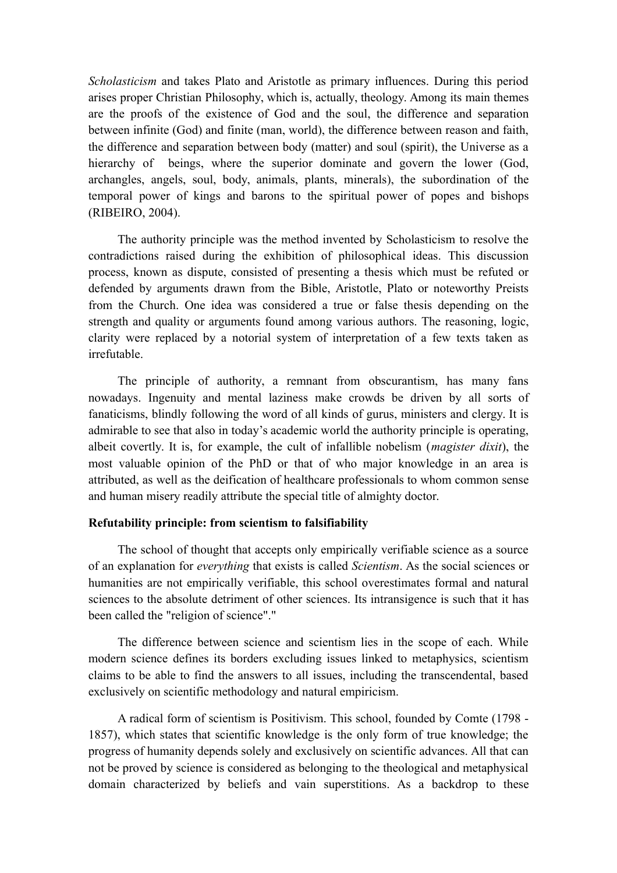*Scholasticism* and takes Plato and Aristotle as primary influences. During this period arises proper Christian Philosophy, which is, actually, theology. Among its main themes are the proofs of the existence of God and the soul, the difference and separation between infinite (God) and finite (man, world), the difference between reason and faith, the difference and separation between body (matter) and soul (spirit), the Universe as a hierarchy of beings, where the superior dominate and govern the lower (God, archangles, angels, soul, body, animals, plants, minerals), the subordination of the temporal power of kings and barons to the spiritual power of popes and bishops (RIBEIRO, 2004).

The authority principle was the method invented by Scholasticism to resolve the contradictions raised during the exhibition of philosophical ideas. This discussion process, known as dispute, consisted of presenting a thesis which must be refuted or defended by arguments drawn from the Bible, Aristotle, Plato or noteworthy Preists from the Church. One idea was considered a true or false thesis depending on the strength and quality or arguments found among various authors. The reasoning, logic, clarity were replaced by a notorial system of interpretation of a few texts taken as irrefutable.

The principle of authority, a remnant from obscurantism, has many fans nowadays. Ingenuity and mental laziness make crowds be driven by all sorts of fanaticisms, blindly following the word of all kinds of gurus, ministers and clergy. It is admirable to see that also in today's academic world the authority principle is operating, albeit covertly. It is, for example, the cult of infallible nobelism (*magister dixit*), the most valuable opinion of the PhD or that of who major knowledge in an area is attributed, as well as the deification of healthcare professionals to whom common sense and human misery readily attribute the special title of almighty doctor.

### **Refutability principle: from scientism to falsifiability**

The school of thought that accepts only empirically verifiable science as a source of an explanation for *everything* that exists is called *Scientism*. As the social sciences or humanities are not empirically verifiable, this school overestimates formal and natural sciences to the absolute detriment of other sciences. Its intransigence is such that it has been called the "religion of science"."

The difference between science and scientism lies in the scope of each. While modern science defines its borders excluding issues linked to metaphysics, scientism claims to be able to find the answers to all issues, including the transcendental, based exclusively on scientific methodology and natural empiricism.

A radical form of scientism is Positivism. This school, founded by Comte (1798 - 1857), which states that scientific knowledge is the only form of true knowledge; the progress of humanity depends solely and exclusively on scientific advances. All that can not be proved by science is considered as belonging to the theological and metaphysical domain characterized by beliefs and vain superstitions. As a backdrop to these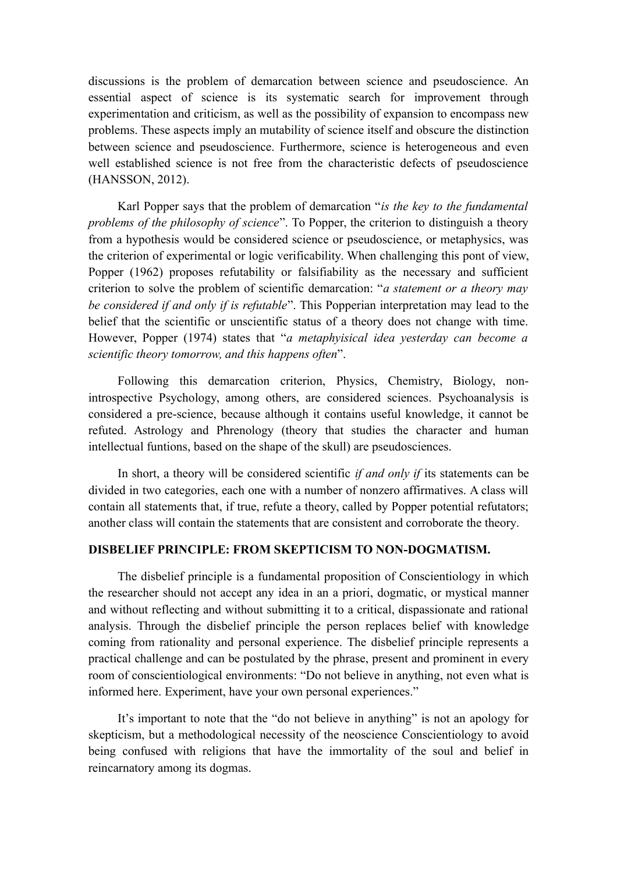discussions is the problem of demarcation between science and pseudoscience. An essential aspect of science is its systematic search for improvement through experimentation and criticism, as well as the possibility of expansion to encompass new problems. These aspects imply an mutability of science itself and obscure the distinction between science and pseudoscience. Furthermore, science is heterogeneous and even well established science is not free from the characteristic defects of pseudoscience (HANSSON, 2012).

Karl Popper says that the problem of demarcation "*is the key to the fundamental problems of the philosophy of science*". To Popper, the criterion to distinguish a theory from a hypothesis would be considered science or pseudoscience, or metaphysics, was the criterion of experimental or logic verificability. When challenging this pont of view, Popper (1962) proposes refutability or falsifiability as the necessary and sufficient criterion to solve the problem of scientific demarcation: "*a statement or a theory may be considered if and only if is refutable*". This Popperian interpretation may lead to the belief that the scientific or unscientific status of a theory does not change with time. However, Popper (1974) states that "*a metaphyisical idea yesterday can become a scientific theory tomorrow, and this happens often*".

Following this demarcation criterion, Physics, Chemistry, Biology, nonintrospective Psychology, among others, are considered sciences. Psychoanalysis is considered a pre-science, because although it contains useful knowledge, it cannot be refuted. Astrology and Phrenology (theory that studies the character and human intellectual funtions, based on the shape of the skull) are pseudosciences.

In short, a theory will be considered scientific *if and only if* its statements can be divided in two categories, each one with a number of nonzero affirmatives. A class will contain all statements that, if true, refute a theory, called by Popper potential refutators; another class will contain the statements that are consistent and corroborate the theory.

### **DISBELIEF PRINCIPLE: FROM SKEPTICISM TO NON-DOGMATISM.**

The disbelief principle is a fundamental proposition of Conscientiology in which the researcher should not accept any idea in an a priori, dogmatic, or mystical manner and without reflecting and without submitting it to a critical, dispassionate and rational analysis. Through the disbelief principle the person replaces belief with knowledge coming from rationality and personal experience. The disbelief principle represents a practical challenge and can be postulated by the phrase, present and prominent in every room of conscientiological environments: "Do not believe in anything, not even what is informed here. Experiment, have your own personal experiences."

It's important to note that the "do not believe in anything" is not an apology for skepticism, but a methodological necessity of the neoscience Conscientiology to avoid being confused with religions that have the immortality of the soul and belief in reincarnatory among its dogmas.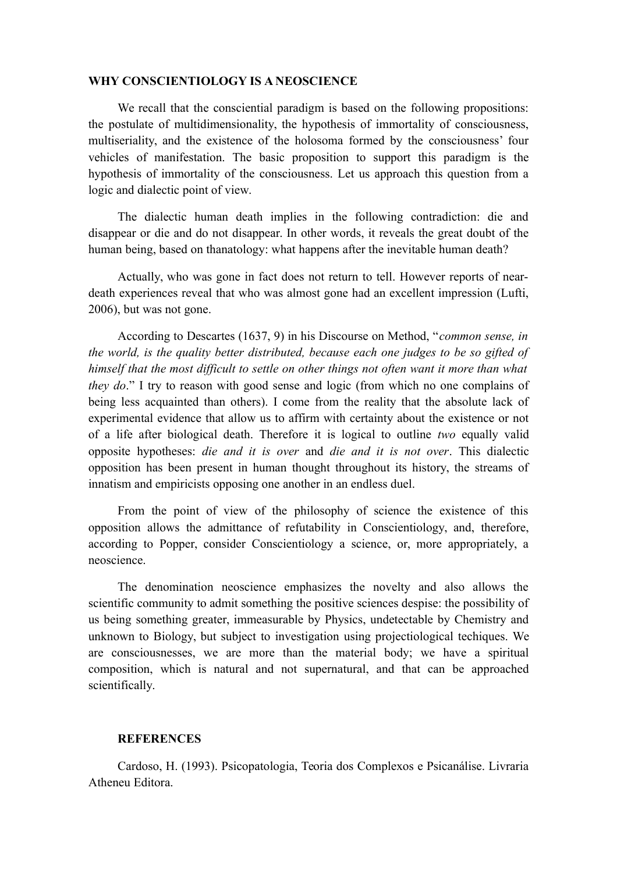#### **WHY CONSCIENTIOLOGY IS A NEOSCIENCE**

We recall that the consciential paradigm is based on the following propositions: the postulate of multidimensionality, the hypothesis of immortality of consciousness, multiseriality, and the existence of the holosoma formed by the consciousness' four vehicles of manifestation. The basic proposition to support this paradigm is the hypothesis of immortality of the consciousness. Let us approach this question from a logic and dialectic point of view.

The dialectic human death implies in the following contradiction: die and disappear or die and do not disappear. In other words, it reveals the great doubt of the human being, based on thanatology: what happens after the inevitable human death?

Actually, who was gone in fact does not return to tell. However reports of neardeath experiences reveal that who was almost gone had an excellent impression (Lufti, 2006), but was not gone.

According to Descartes (1637, 9) in his Discourse on Method, "*common sense, in the world, is the quality better distributed, because each one judges to be so gifted of himself that the most difficult to settle on other things not often want it more than what they do*." I try to reason with good sense and logic (from which no one complains of being less acquainted than others). I come from the reality that the absolute lack of experimental evidence that allow us to affirm with certainty about the existence or not of a life after biological death. Therefore it is logical to outline *two* equally valid opposite hypotheses: *die and it is over* and *die and it is not over*. This dialectic opposition has been present in human thought throughout its history, the streams of innatism and empiricists opposing one another in an endless duel.

From the point of view of the philosophy of science the existence of this opposition allows the admittance of refutability in Conscientiology, and, therefore, according to Popper, consider Conscientiology a science, or, more appropriately, a neoscience.

The denomination neoscience emphasizes the novelty and also allows the scientific community to admit something the positive sciences despise: the possibility of us being something greater, immeasurable by Physics, undetectable by Chemistry and unknown to Biology, but subject to investigation using projectiological techiques. We are consciousnesses, we are more than the material body; we have a spiritual composition, which is natural and not supernatural, and that can be approached scientifically.

#### **REFERENCES**

Cardoso, H. (1993). Psicopatologia, Teoria dos Complexos e Psicanálise. Livraria Atheneu Editora.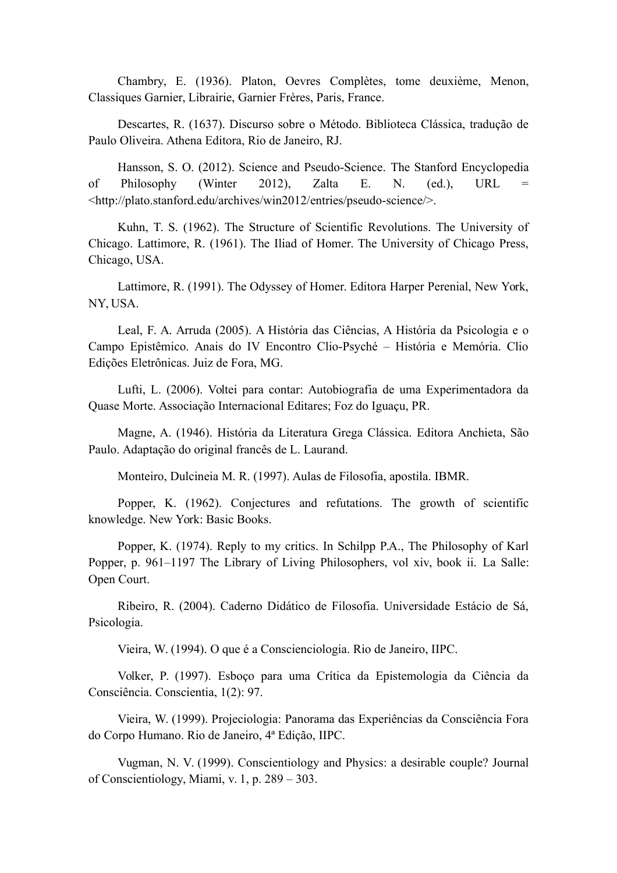Chambry, E. (1936). Platon, Oevres Complètes, tome deuxième, Menon, Classiques Garnier, Librairie, Garnier Frères, Paris, France.

Descartes, R. (1637). Discurso sobre o Método. Biblioteca Clássica, tradução de Paulo Oliveira. Athena Editora, Rio de Janeiro, RJ.

Hansson, S. O. (2012). Science and Pseudo-Science. The Stanford Encyclopedia of Philosophy (Winter 2012), Zalta E. N. (ed.), URL = <http://plato.stanford.edu/archives/win2012/entries/pseudo-science/>.

Kuhn, T. S. (1962). The Structure of Scientific Revolutions. The University of Chicago. Lattimore, R. (1961). The Iliad of Homer. The University of Chicago Press, Chicago, USA.

Lattimore, R. (1991). The Odyssey of Homer. Editora Harper Perenial, New York, NY, USA.

Leal, F. A. Arruda (2005). A História das Ciências, A História da Psicologia e o Campo Epistêmico. Anais do IV Encontro Clio-Psyché – História e Memória. Clio Edições Eletrônicas. Juiz de Fora, MG.

Lufti, L. (2006). Voltei para contar: Autobiografia de uma Experimentadora da Quase Morte. Associação Internacional Editares; Foz do Iguaçu, PR.

Magne, A. (1946). História da Literatura Grega Clássica. Editora Anchieta, São Paulo. Adaptação do original francês de L. Laurand.

Monteiro, Dulcineia M. R. (1997). Aulas de Filosofia, apostila. IBMR.

Popper, K. (1962). Conjectures and refutations. The growth of scientific knowledge. New York: Basic Books.

Popper, K. (1974). Reply to my critics. In Schilpp P.A., The Philosophy of Karl Popper, p. 961–1197 The Library of Living Philosophers, vol xiv, book ii. La Salle: Open Court.

Ribeiro, R. (2004). Caderno Didático de Filosofia. Universidade Estácio de Sá, Psicologia.

Vieira, W. (1994). O que é a Conscienciologia. Rio de Janeiro, IIPC.

Volker, P. (1997). Esboço para uma Crítica da Epistemologia da Ciência da Consciência. Conscientia, 1(2): 97.

Vieira, W. (1999). Projeciologia: Panorama das Experiências da Consciência Fora do Corpo Humano. Rio de Janeiro, 4ª Edição, IIPC.

Vugman, N. V. (1999). Conscientiology and Physics: a desirable couple? Journal of Conscientiology, Miami, v. 1, p. 289 – 303.